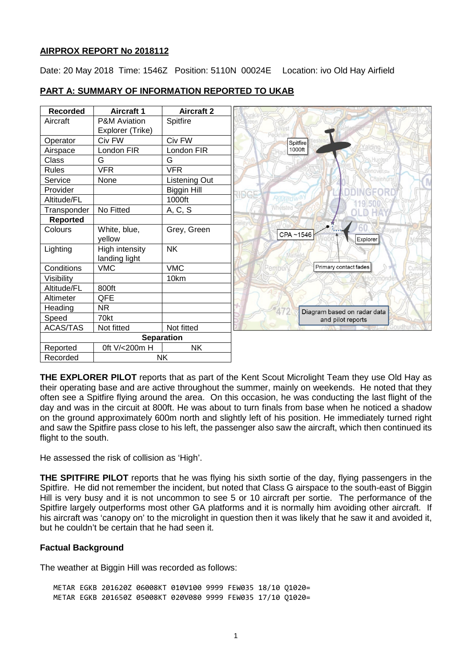## **AIRPROX REPORT No 2018112**

Date: 20 May 2018 Time: 1546Z Position: 5110N 00024E Location: ivo Old Hay Airfield

| <b>Recorded</b>       | Aircraft 1              | <b>Aircraft 2</b>  |
|-----------------------|-------------------------|--------------------|
| Aircraft              | <b>P&amp;M Aviation</b> | Spitfire           |
|                       | Explorer (Trike)        |                    |
| Operator              | Civ FW                  | Civ FW             |
|                       | London FIR              | London FIR         |
| Airspace              |                         |                    |
| Class                 | G                       | G                  |
| <b>Rules</b>          | <b>VFR</b>              | <b>VFR</b>         |
| Service               | None                    | Listening Out      |
| Provider              |                         | <b>Biggin Hill</b> |
| Altitude/FL           |                         | 1000ft             |
| Transponder           | No Fitted               | A, C, S            |
| <b>Reported</b>       |                         |                    |
| Colours               | White, blue,            | Grey, Green        |
|                       | yellow                  |                    |
| Lighting              | <b>High intensity</b>   | <b>NK</b>          |
|                       | landing light           |                    |
| Conditions            | <b>VMC</b>              | <b>VMC</b>         |
| Visibility            |                         | 10km               |
| Altitude/FL           | 800ft                   |                    |
| Altimeter             | QFE                     |                    |
| Heading               | <b>NR</b>               |                    |
| Speed                 | 70kt                    |                    |
| <b>ACAS/TAS</b>       | Not fitted              | Not fitted         |
| <b>Separation</b>     |                         |                    |
| Reported              | 0ft V/<200m H           | <b>NK</b>          |
| <b>NK</b><br>Recorded |                         |                    |

# **PART A: SUMMARY OF INFORMATION REPORTED TO UKAB**

**THE EXPLORER PILOT** reports that as part of the Kent Scout Microlight Team they use Old Hay as their operating base and are active throughout the summer, mainly on weekends. He noted that they often see a Spitfire flying around the area. On this occasion, he was conducting the last flight of the day and was in the circuit at 800ft. He was about to turn finals from base when he noticed a shadow on the ground approximately 600m north and slightly left of his position. He immediately turned right and saw the Spitfire pass close to his left, the passenger also saw the aircraft, which then continued its flight to the south.

He assessed the risk of collision as 'High'.

**THE SPITFIRE PILOT** reports that he was flying his sixth sortie of the day, flying passengers in the Spitfire. He did not remember the incident, but noted that Class G airspace to the south-east of Biggin Hill is very busy and it is not uncommon to see 5 or 10 aircraft per sortie. The performance of the Spitfire largely outperforms most other GA platforms and it is normally him avoiding other aircraft. If his aircraft was 'canopy on' to the microlight in question then it was likely that he saw it and avoided it, but he couldn't be certain that he had seen it.

# **Factual Background**

The weather at Biggin Hill was recorded as follows:

METAR EGKB 201620Z 06008KT 010V100 9999 FEW035 18/10 Q1020= METAR EGKB 201650Z 05008KT 020V080 9999 FEW035 17/10 Q1020=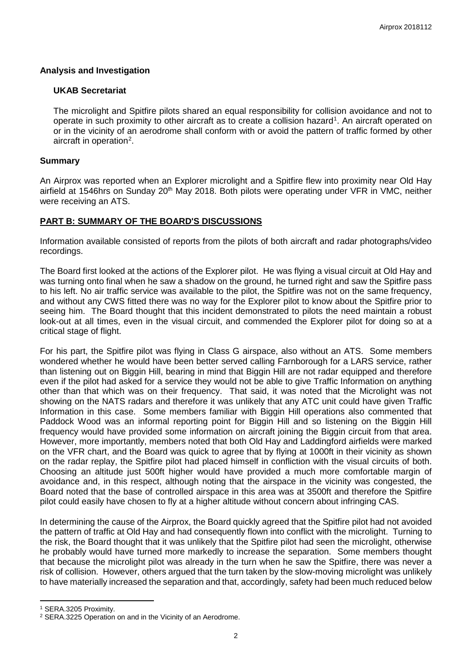### **Analysis and Investigation**

#### **UKAB Secretariat**

The microlight and Spitfire pilots shared an equal responsibility for collision avoidance and not to operate in such proximity to other aircraft as to create a collision hazard<sup>[1](#page-1-0)</sup>. An aircraft operated on or in the vicinity of an aerodrome shall conform with or avoid the pattern of traffic formed by other aircraft in operation<sup>[2](#page-1-1)</sup>.

## **Summary**

An Airprox was reported when an Explorer microlight and a Spitfire flew into proximity near Old Hay airfield at 1546hrs on Sunday 20<sup>th</sup> May 2018. Both pilots were operating under VFR in VMC, neither were receiving an ATS.

# **PART B: SUMMARY OF THE BOARD'S DISCUSSIONS**

Information available consisted of reports from the pilots of both aircraft and radar photographs/video recordings.

The Board first looked at the actions of the Explorer pilot. He was flying a visual circuit at Old Hay and was turning onto final when he saw a shadow on the ground, he turned right and saw the Spitfire pass to his left. No air traffic service was available to the pilot, the Spitfire was not on the same frequency, and without any CWS fitted there was no way for the Explorer pilot to know about the Spitfire prior to seeing him. The Board thought that this incident demonstrated to pilots the need maintain a robust look-out at all times, even in the visual circuit, and commended the Explorer pilot for doing so at a critical stage of flight.

For his part, the Spitfire pilot was flying in Class G airspace, also without an ATS. Some members wondered whether he would have been better served calling Farnborough for a LARS service, rather than listening out on Biggin Hill, bearing in mind that Biggin Hill are not radar equipped and therefore even if the pilot had asked for a service they would not be able to give Traffic Information on anything other than that which was on their frequency. That said, it was noted that the Microlight was not showing on the NATS radars and therefore it was unlikely that any ATC unit could have given Traffic Information in this case. Some members familiar with Biggin Hill operations also commented that Paddock Wood was an informal reporting point for Biggin Hill and so listening on the Biggin Hill frequency would have provided some information on aircraft joining the Biggin circuit from that area. However, more importantly, members noted that both Old Hay and Laddingford airfields were marked on the VFR chart, and the Board was quick to agree that by flying at 1000ft in their vicinity as shown on the radar replay, the Spitfire pilot had placed himself in confliction with the visual circuits of both. Choosing an altitude just 500ft higher would have provided a much more comfortable margin of avoidance and, in this respect, although noting that the airspace in the vicinity was congested, the Board noted that the base of controlled airspace in this area was at 3500ft and therefore the Spitfire pilot could easily have chosen to fly at a higher altitude without concern about infringing CAS.

In determining the cause of the Airprox, the Board quickly agreed that the Spitfire pilot had not avoided the pattern of traffic at Old Hay and had consequently flown into conflict with the microlight. Turning to the risk, the Board thought that it was unlikely that the Spitfire pilot had seen the microlight, otherwise he probably would have turned more markedly to increase the separation. Some members thought that because the microlight pilot was already in the turn when he saw the Spitfire, there was never a risk of collision. However, others argued that the turn taken by the slow-moving microlight was unlikely to have materially increased the separation and that, accordingly, safety had been much reduced below

l

<span id="page-1-0"></span><sup>1</sup> SERA.3205 Proximity.

<span id="page-1-1"></span><sup>2</sup> SERA.3225 Operation on and in the Vicinity of an Aerodrome.